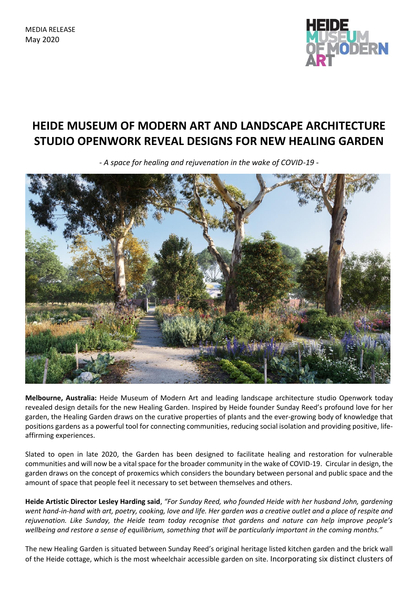MEDIA RELEASE May 2020



## **HEIDE MUSEUM OF MODERN ART AND LANDSCAPE ARCHITECTURE STUDIO OPENWORK REVEAL DESIGNS FOR NEW HEALING GARDEN**

*- A space for healing and rejuvenation in the wake of COVID-19 -*



**Melbourne, Australia:** Heide Museum of Modern Art and leading landscape architecture studio Openwork today revealed design details for the new Healing Garden. Inspired by Heide founder Sunday Reed's profound love for her garden, the Healing Garden draws on the curative properties of plants and the ever-growing body of knowledge that positions gardens as a powerful tool for connecting communities, reducing social isolation and providing positive, lifeaffirming experiences.

Slated to open in late 2020, the Garden has been designed to facilitate healing and restoration for vulnerable communities and will now be a vital space for the broader community in the wake of COVID-19. Circular in design, the garden draws on the concept of proxemics which considers the boundary between personal and public space and the amount of space that people feel it necessary to set between themselves and others.

**Heide Artistic Director Lesley Harding said**, *"For Sunday Reed, who founded Heide with her husband John, gardening went hand-in-hand with art, poetry, cooking, love and life. Her garden was a creative outlet and a place of respite and rejuvenation. Like Sunday, the Heide team today recognise that gardens and nature can help improve people's wellbeing and restore a sense of equilibrium, something that will be particularly important in the coming months."*

The new Healing Garden is situated between Sunday Reed's original heritage listed kitchen garden and the brick wall of the Heide cottage, which is the most wheelchair accessible garden on site. Incorporating six distinct clusters of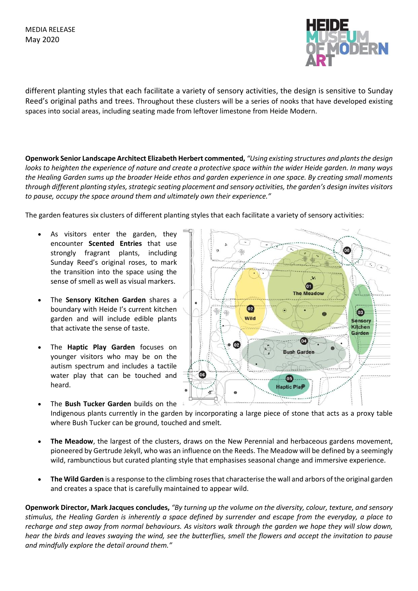

different planting styles that each facilitate a variety of sensory activities, the design is sensitive to Sunday Reed's original paths and trees. Throughout these clusters will be a series of nooks that have developed existing spaces into social areas, including seating made from leftover limestone from Heide Modern.

**Openwork Senior Landscape Architect Elizabeth Herbert commented,** *"Using existing structures and plants the design looks to heighten the experience of nature and create a protective space within the wider Heide garden. In many ways the Healing Garden sums up the broader Heide ethos and garden experience in one space. By creating small moments through different planting styles, strategic seating placement and sensory activities, the garden's design invites visitors to pause, occupy the space around them and ultimately own their experience."*

The garden features six clusters of different planting styles that each facilitate a variety of sensory activities:

- As visitors enter the garden, they encounter **Scented Entries** that use strongly fragrant plants, including Sunday Reed's original roses, to mark the transition into the space using the sense of smell as well as visual markers.
- The **Sensory Kitchen Garden** shares a boundary with Heide I's current kitchen garden and will include edible plants that activate the sense of taste.
- The **Haptic Play Garden** focuses on younger visitors who may be on the autism spectrum and includes a tactile water play that can be touched and heard.



- The **Bush Tucker Garden** builds on the Indigenous plants currently in the garden by incorporating a large piece of stone that acts as a proxy table where Bush Tucker can be ground, touched and smelt.
- **The Meadow**, the largest of the clusters, draws on the New Perennial and herbaceous gardens movement, pioneered by Gertrude Jekyll, who was an influence on the Reeds. The Meadow will be defined by a seemingly wild, rambunctious but curated planting style that emphasises seasonal change and immersive experience.
- **The Wild Garden** is a response to the climbing roses that characterise the wall and arbors of the original garden and creates a space that is carefully maintained to appear wild.

**Openwork Director, Mark Jacques concludes,** *"By turning up the volume on the diversity, colour, texture, and sensory stimulus, the Healing Garden is inherently a space defined by surrender and escape from the everyday, a place to recharge and step away from normal behaviours. As visitors walk through the garden we hope they will slow down, hear the birds and leaves swaying the wind, see the butterflies, smell the flowers and accept the invitation to pause and mindfully explore the detail around them."*